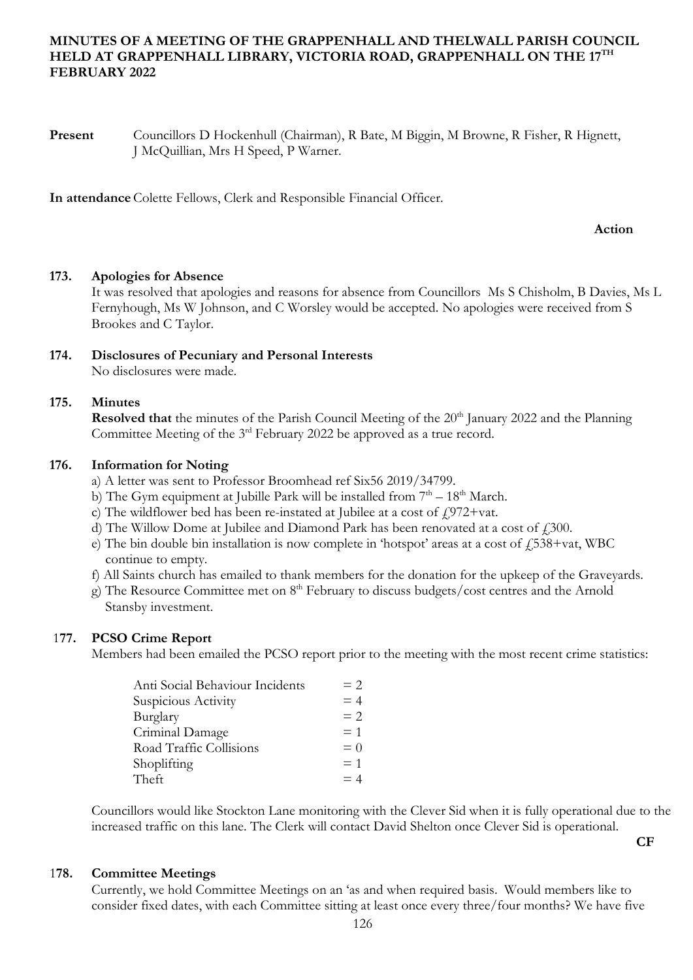# **MINUTES OF A MEETING OF THE GRAPPENHALL AND THELWALL PARISH COUNCIL HELD AT GRAPPENHALL LIBRARY, VICTORIA ROAD, GRAPPENHALL ON THE 17TH FEBRUARY 2022**

**Present** Councillors D Hockenhull (Chairman), R Bate, M Biggin, M Browne, R Fisher, R Hignett, J McQuillian, Mrs H Speed, P Warner.

**In attendance** Colette Fellows, Clerk and Responsible Financial Officer.

### **Action**

## **173. Apologies for Absence**

It was resolved that apologies and reasons for absence from Councillors Ms S Chisholm, B Davies, Ms L Fernyhough, Ms W Johnson, and C Worsley would be accepted. No apologies were received from S Brookes and C Taylor.

#### **174. Disclosures of Pecuniary and Personal Interests** No disclosures were made.

# **175. Minutes**

**Resolved that** the minutes of the Parish Council Meeting of the 20<sup>th</sup> January 2022 and the Planning Committee Meeting of the  $3<sup>rd</sup>$  February 2022 be approved as a true record.

## **176. Information for Noting**

- a) A letter was sent to Professor Broomhead ref Six56 2019/34799.
- b) The Gym equipment at Jubille Park will be installed from  $7<sup>th</sup> 18<sup>th</sup>$  March.
- c) The wildflower bed has been re-instated at Jubilee at a cost of  $f$ 972+vat.
- d) The Willow Dome at Jubilee and Diamond Park has been renovated at a cost of  $\ell$ 300.
- e) The bin double bin installation is now complete in 'hotspot' areas at a cost of  $\angle 538 + \text{vat}$ , WBC continue to empty.
- f) All Saints church has emailed to thank members for the donation for the upkeep of the Graveyards.
- g) The Resource Committee met on 8<sup>th</sup> February to discuss budgets/cost centres and the Arnold Stansby investment.

### 1**77. PCSO Crime Report**

Members had been emailed the PCSO report prior to the meeting with the most recent crime statistics:

| Anti Social Behaviour Incidents | $= 2$ |
|---------------------------------|-------|
| Suspicious Activity             | $= 4$ |
| Burglary                        | $= 2$ |
| Criminal Damage                 | $= 1$ |
| Road Traffic Collisions         | $= 0$ |
| Shoplifting                     | $= 1$ |
| Theft                           | $=4$  |

Councillors would like Stockton Lane monitoring with the Clever Sid when it is fully operational due to the increased traffic on this lane. The Clerk will contact David Shelton once Clever Sid is operational.

**CF**

# 1**78. Committee Meetings**

Currently, we hold Committee Meetings on an 'as and when required basis. Would members like to consider fixed dates, with each Committee sitting at least once every three/four months? We have five